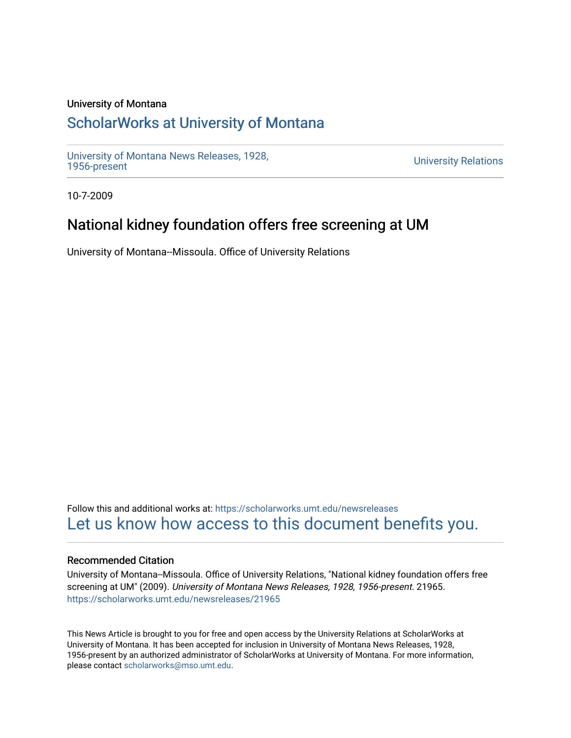### University of Montana

# [ScholarWorks at University of Montana](https://scholarworks.umt.edu/)

[University of Montana News Releases, 1928,](https://scholarworks.umt.edu/newsreleases) 

**University Relations** 

10-7-2009

## National kidney foundation offers free screening at UM

University of Montana--Missoula. Office of University Relations

Follow this and additional works at: [https://scholarworks.umt.edu/newsreleases](https://scholarworks.umt.edu/newsreleases?utm_source=scholarworks.umt.edu%2Fnewsreleases%2F21965&utm_medium=PDF&utm_campaign=PDFCoverPages) [Let us know how access to this document benefits you.](https://goo.gl/forms/s2rGfXOLzz71qgsB2) 

### Recommended Citation

University of Montana--Missoula. Office of University Relations, "National kidney foundation offers free screening at UM" (2009). University of Montana News Releases, 1928, 1956-present. 21965. [https://scholarworks.umt.edu/newsreleases/21965](https://scholarworks.umt.edu/newsreleases/21965?utm_source=scholarworks.umt.edu%2Fnewsreleases%2F21965&utm_medium=PDF&utm_campaign=PDFCoverPages) 

This News Article is brought to you for free and open access by the University Relations at ScholarWorks at University of Montana. It has been accepted for inclusion in University of Montana News Releases, 1928, 1956-present by an authorized administrator of ScholarWorks at University of Montana. For more information, please contact [scholarworks@mso.umt.edu.](mailto:scholarworks@mso.umt.edu)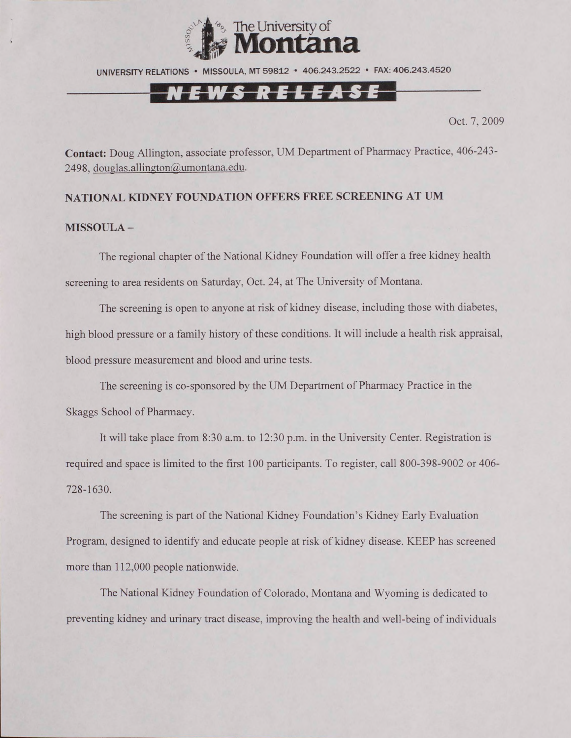

UNIVERSITY RELATIONS • MISSOULA. MT 59812 • 406.243.2522 • FAX: 406.243.4520

## <u>NEWS RELEASE</u>

Oct. 7, 2009

**Contact:** Doug Allington. associate professor. UM Department of Pharmacy Practice, 406-243- 2498. [douglas.allington@umontana.edu.](mailto:douglas.allington@umontana.edu)

#### **NATIONAL KIDNEY FOUNDATION OFFERS FREE SCREENING AT UM**

#### **MISSOULA -**

The regional chapter of the National Kidney Foundation will offer a free kidney health screening to area residents on Saturday, Oct. 24, at The University of Montana.

The screening is open to anyone at risk of kidney disease, including those with diabetes, high blood pressure or a family history of these conditions. It will include a health risk appraisal, blood pressure measurement and blood and urine tests.

The screening is co-sponsored by the UM Department of Pharmacy Practice in the Skaggs School of Pharmacy.

It will take place from 8:30 a.m. to 12:30 p.m. in the University Center. Registration is required and space is limited to the first 100 participants. To register, call 800-398-9002 or 406- 728-1630.

The screening is part of the National Kidney Foundation's Kidney Early Evaluation Program, designed to identify and educate people at risk of kidney disease. KEEP has screened more than 112,000 people nationwide.

The National Kidney Foundation of Colorado, Montana and Wyoming is dedicated to preventing kidney and urinary tract disease, improving the health and well-being of individuals